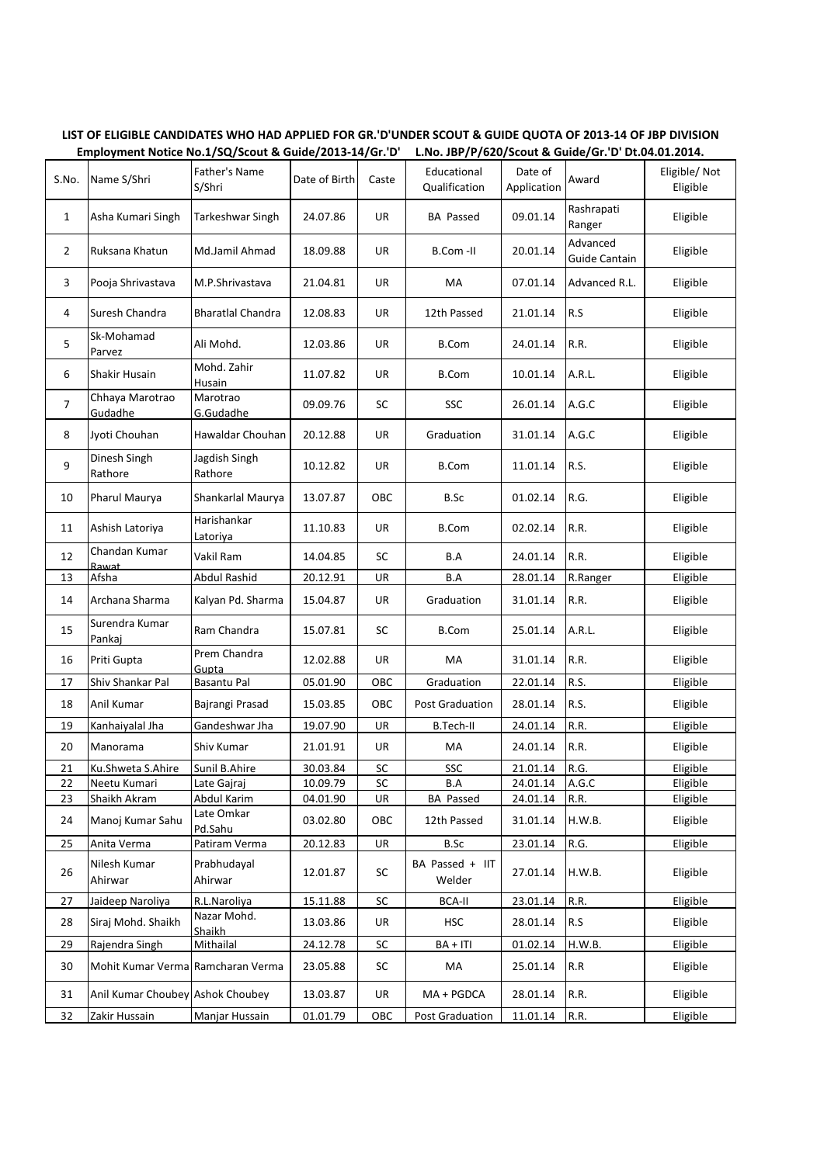| S.No.          | Name S/Shri                       | Father's Name<br>S/Shri     | Date of Birth        | Caste     | Educational<br>Qualification    | Date of<br>Application | Award                            | Eligible/Not<br>Eligible |
|----------------|-----------------------------------|-----------------------------|----------------------|-----------|---------------------------------|------------------------|----------------------------------|--------------------------|
| $\mathbf 1$    | Asha Kumari Singh                 | Tarkeshwar Singh            | 24.07.86             | UR        | <b>BA Passed</b>                | 09.01.14               | Rashrapati<br>Ranger             | Eligible                 |
| $\overline{2}$ | Ruksana Khatun                    | Md.Jamil Ahmad              | 18.09.88             | UR        | B.Com-II                        | 20.01.14               | Advanced<br><b>Guide Cantain</b> | Eligible                 |
| 3              | Pooja Shrivastava                 | M.P.Shrivastava             | 21.04.81             | UR        | MA                              | 07.01.14               | Advanced R.L.                    | Eligible                 |
| 4              | Suresh Chandra                    | <b>Bharatlal Chandra</b>    | 12.08.83             | UR        | 12th Passed                     | 21.01.14               | R.S                              | Eligible                 |
| 5              | Sk-Mohamad<br>Parvez              | Ali Mohd.                   | 12.03.86             | UR        | <b>B.Com</b>                    | 24.01.14               | R.R.                             | Eligible                 |
| 6              | Shakir Husain                     | Mohd. Zahir<br>Husain       | 11.07.82             | UR        | <b>B.Com</b>                    | 10.01.14               | A.R.L.                           | Eligible                 |
| $\overline{7}$ | Chhaya Marotrao<br>Gudadhe        | Marotrao<br>G.Gudadhe       | 09.09.76             | SC        | SSC                             | 26.01.14               | A.G.C                            | Eligible                 |
| 8              | Jyoti Chouhan                     | Hawaldar Chouhan            | 20.12.88             | UR        | Graduation                      | 31.01.14               | A.G.C                            | Eligible                 |
| 9              | Dinesh Singh<br>Rathore           | Jagdish Singh<br>Rathore    | 10.12.82             | UR        | <b>B.Com</b>                    | 11.01.14               | R.S.                             | Eligible                 |
| 10             | Pharul Maurya                     | Shankarlal Maurya           | 13.07.87             | OBC       | B.Sc                            | 01.02.14               | R.G.                             | Eligible                 |
| 11             | Ashish Latoriya                   | Harishankar<br>Latoriya     | 11.10.83             | UR        | <b>B.Com</b>                    | 02.02.14               | R.R.                             | Eligible                 |
| 12             | Chandan Kumar<br>Rawat            | Vakil Ram                   | 14.04.85             | SC        | B.A                             | 24.01.14               | R.R.                             | Eligible                 |
| 13             | Afsha                             | <b>Abdul Rashid</b>         | 20.12.91             | UR        | B.A                             | 28.01.14               | R.Ranger                         | Eligible                 |
| 14             | Archana Sharma                    | Kalyan Pd. Sharma           | 15.04.87             | UR        | Graduation                      | 31.01.14               | R.R.                             | Eligible                 |
| 15             | Surendra Kumar<br>Pankaj          | Ram Chandra                 | 15.07.81             | SC        | <b>B.Com</b>                    | 25.01.14               | A.R.L.                           | Eligible                 |
| 16             | Priti Gupta                       | Prem Chandra<br>Gupta       | 12.02.88             | UR        | МA                              | 31.01.14               | R.R.                             | Eligible                 |
| 17             | Shiv Shankar Pal                  | <b>Basantu Pal</b>          | 05.01.90             | OBC       | Graduation                      | 22.01.14               | R.S.                             | Eligible                 |
| 18             | Anil Kumar                        | Bajrangi Prasad             | 15.03.85             | OBC       | Post Graduation                 | 28.01.14               | R.S.                             | Eligible                 |
| 19             | Kanhaiyalal Jha                   | Gandeshwar Jha              | 19.07.90             | UR        | B.Tech-II                       | 24.01.14               | R.R.                             | Eligible                 |
| 20             | Manorama                          | Shiv Kumar                  | 21.01.91             | UR        | MA                              | 24.01.14               | R.R.                             | Eligible                 |
| 21             | Ku.Shweta S.Ahire                 | Sunil B.Ahire               | 30.03.84             | SC        | SSC                             | 21.01.14               | R.G.                             | Eligible                 |
| 22             | Neetu Kumari                      | Late Gajraj                 | 10.09.79             | SC        | B.A                             | 24.01.14               | A.G.C                            | Eligible                 |
| 23<br>24       | Shaikh Akram<br>Manoj Kumar Sahu  | Abdul Karim<br>Late Omkar   | 04.01.90<br>03.02.80 | UR<br>OBC | <b>BA Passed</b><br>12th Passed | 24.01.14<br>31.01.14   | R.R.<br>H.W.B.                   | Eligible<br>Eligible     |
| 25             | Anita Verma                       | Pd.Sahu<br>Patiram Verma    | 20.12.83             | UR        | B.Sc                            | 23.01.14               | R.G.                             | Eligible                 |
| 26             | Nilesh Kumar<br>Ahirwar           | Prabhudayal<br>Ahirwar      | 12.01.87             | SC        | BA Passed + IIT<br>Welder       | 27.01.14               | H.W.B.                           | Eligible                 |
|                |                                   |                             |                      |           |                                 |                        |                                  |                          |
| 27             | Jaideep Naroliya                  | R.L.Naroliya<br>Nazar Mohd. | 15.11.88             | SC        | <b>BCA-II</b>                   | 23.01.14               | R.R.                             | Eligible                 |
| 28             | Siraj Mohd. Shaikh                | Shaikh                      | 13.03.86             | UR        | <b>HSC</b>                      | 28.01.14               | R.S                              | Eligible                 |
| 29             | Rajendra Singh                    | Mithailal                   | 24.12.78             | SC        | BA + ITI                        | 01.02.14               | H.W.B.                           | Eligible                 |
| 30             | Mohit Kumar Verma Ramcharan Verma |                             | 23.05.88             | SC        | MA                              | 25.01.14               | R.R                              | Eligible                 |
| 31             | Anil Kumar Choubey Ashok Choubey  |                             | 13.03.87             | UR        | MA + PGDCA                      | 28.01.14               | R.R.                             | Eligible                 |
| 32             | Zakir Hussain                     | Manjar Hussain              | 01.01.79             | OBC       | Post Graduation                 | 11.01.14               | R.R.                             | Eligible                 |

**LIST OF ELIGIBLE CANDIDATES WHO HAD APPLIED FOR GR.'D'UNDER SCOUT & GUIDE QUOTA OF 2013-14 OF JBP DIVISION Employment Notice No.1/SQ/Scout & Guide/2013-14/Gr.'D' L.No. JBP/P/620/Scout & Guide/Gr.'D' Dt.04.01.2014.**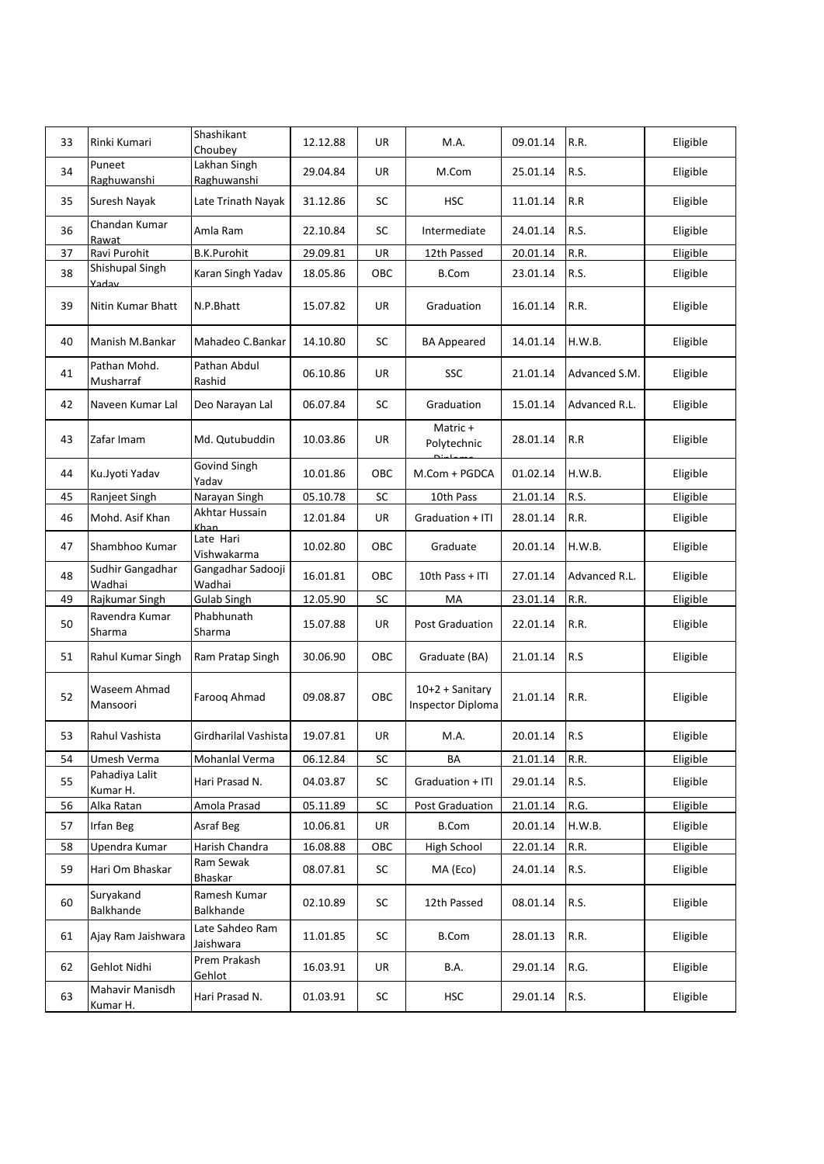| 33 | Rinki Kumari                | Shashikant<br>Choubey         | 12.12.88 | UR  | M.A.                                          | 09.01.14 | R.R.          | Eligible |
|----|-----------------------------|-------------------------------|----------|-----|-----------------------------------------------|----------|---------------|----------|
| 34 | Puneet<br>Raghuwanshi       | Lakhan Singh<br>Raghuwanshi   | 29.04.84 | UR  | M.Com                                         | 25.01.14 | R.S.          | Eligible |
| 35 | Suresh Nayak                | Late Trinath Nayak            | 31.12.86 | SC  | <b>HSC</b>                                    | 11.01.14 | R.R           | Eligible |
| 36 | Chandan Kumar<br>Rawat      | Amla Ram                      | 22.10.84 | SC  | Intermediate                                  | 24.01.14 | R.S.          | Eligible |
| 37 | Ravi Purohit                | <b>B.K.Purohit</b>            | 29.09.81 | UR  | 12th Passed                                   | 20.01.14 | R.R.          | Eligible |
| 38 | Shishupal Singh<br>Vadav    | Karan Singh Yadav             | 18.05.86 | OBC | <b>B.Com</b>                                  | 23.01.14 | R.S.          | Eligible |
| 39 | Nitin Kumar Bhatt           | N.P.Bhatt                     | 15.07.82 | UR  | Graduation                                    | 16.01.14 | R.R.          | Eligible |
| 40 | Manish M.Bankar             | Mahadeo C.Bankar              | 14.10.80 | SC  | <b>BA Appeared</b>                            | 14.01.14 | H.W.B.        | Eligible |
| 41 | Pathan Mohd.<br>Musharraf   | Pathan Abdul<br>Rashid        | 06.10.86 | UR  | SSC                                           | 21.01.14 | Advanced S.M. | Eligible |
| 42 | Naveen Kumar Lal            | Deo Narayan Lal               | 06.07.84 | SC  | Graduation                                    | 15.01.14 | Advanced R.L. | Eligible |
| 43 | Zafar Imam                  | Md. Qutubuddin                | 10.03.86 | UR  | Matric +<br>Polytechnic                       | 28.01.14 | R.R           | Eligible |
| 44 | Ku.Jyoti Yadav              | Govind Singh<br>Yadav         | 10.01.86 | OBC | M.Com + PGDCA                                 | 01.02.14 | H.W.B.        | Eligible |
| 45 | Ranjeet Singh               | Narayan Singh                 | 05.10.78 | SC  | 10th Pass                                     | 21.01.14 | R.S.          | Eligible |
| 46 | Mohd. Asif Khan             | Akhtar Hussain<br><b>Khan</b> | 12.01.84 | UR  | Graduation + ITI                              | 28.01.14 | R.R.          | Eligible |
| 47 | Shambhoo Kumar              | Late Hari<br>Vishwakarma      | 10.02.80 | OBC | Graduate                                      | 20.01.14 | H.W.B.        | Eligible |
| 48 | Sudhir Gangadhar<br>Wadhai  | Gangadhar Sadooji<br>Wadhai   | 16.01.81 | OBC | 10th Pass + ITI                               | 27.01.14 | Advanced R.L. | Eligible |
| 49 | Rajkumar Singh              | Gulab Singh                   | 12.05.90 | SC  | МA                                            | 23.01.14 | R.R.          | Eligible |
| 50 | Ravendra Kumar<br>Sharma    | Phabhunath<br>Sharma          | 15.07.88 | UR  | <b>Post Graduation</b>                        | 22.01.14 | R.R.          | Eligible |
| 51 | Rahul Kumar Singh           | Ram Pratap Singh              | 30.06.90 | OBC | Graduate (BA)                                 | 21.01.14 | R.S           | Eligible |
| 52 | Waseem Ahmad<br>Mansoori    | Faroog Ahmad                  | 09.08.87 | OBC | $10+2 +$ Sanitary<br><b>Inspector Diploma</b> | 21.01.14 | R.R.          | Eligible |
| 53 | Rahul Vashista              | Girdharilal Vashista          | 19.07.81 | UR  | M.A.                                          | 20.01.14 | R.S           | Eligible |
| 54 | Umesh Verma                 | Mohanlal Verma                | 06.12.84 | SC  | BA                                            | 21.01.14 | R.R.          | Eligible |
| 55 | Pahadiya Lalit<br>Kumar H.  | Hari Prasad N.                | 04.03.87 | SC  | Graduation + ITI                              | 29.01.14 | R.S.          | Eligible |
| 56 | Alka Ratan                  | Amola Prasad                  | 05.11.89 | SC  | <b>Post Graduation</b>                        | 21.01.14 | R.G.          | Eligible |
| 57 | Irfan Beg                   | Asraf Beg                     | 10.06.81 | UR  | <b>B.Com</b>                                  | 20.01.14 | H.W.B.        | Eligible |
| 58 | Upendra Kumar               | Harish Chandra                | 16.08.88 | OBC | High School                                   | 22.01.14 | R.R.          | Eligible |
| 59 | Hari Om Bhaskar             | Ram Sewak<br>Bhaskar          | 08.07.81 | SC  | MA (Eco)                                      | 24.01.14 | R.S.          | Eligible |
| 60 | Suryakand<br>Balkhande      | Ramesh Kumar<br>Balkhande     | 02.10.89 | SC  | 12th Passed                                   | 08.01.14 | R.S.          | Eligible |
| 61 | Ajay Ram Jaishwara          | Late Sahdeo Ram<br>Jaishwara  | 11.01.85 | SC  | <b>B.Com</b>                                  | 28.01.13 | R.R.          | Eligible |
| 62 | Gehlot Nidhi                | Prem Prakash<br>Gehlot        | 16.03.91 | UR  | B.A.                                          | 29.01.14 | R.G.          | Eligible |
| 63 | Mahavir Manisdh<br>Kumar H. | Hari Prasad N.                | 01.03.91 | SC  | <b>HSC</b>                                    | 29.01.14 | R.S.          | Eligible |